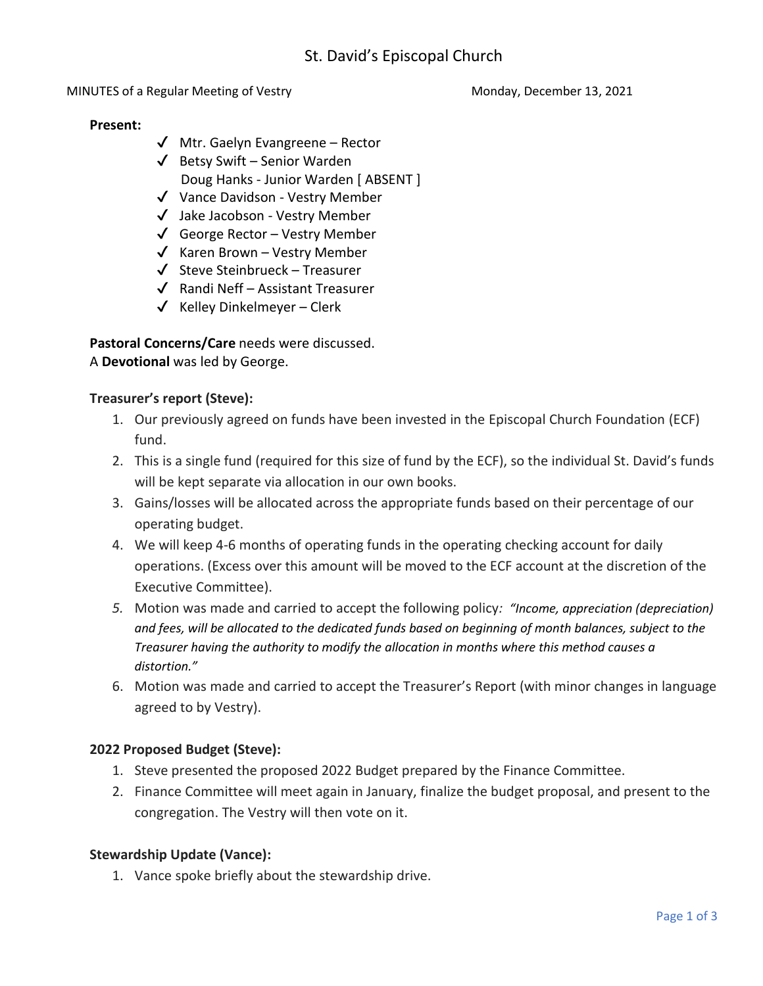MINUTES of a Regular Meeting of Vestry Monday, December 13, 2021

#### **Present:**

- ✔ Mtr. Gaelyn Evangreene Rector
- $\checkmark$  Betsy Swift Senior Warden Doug Hanks - Junior Warden [ ABSENT ]
- ✔ Vance Davidson Vestry Member
- ✔ Jake Jacobson Vestry Member
- $\checkmark$  George Rector Vestry Member
- $\checkmark$  Karen Brown Vestry Member
- $\checkmark$  Steve Steinbrueck Treasurer
- $\sqrt{\phantom{a}}$  Randi Neff Assistant Treasurer
- $\checkmark$  Kelley Dinkelmeyer Clerk

**Pastoral Concerns/Care** needs were discussed. A **Devotional** was led by George.

## **Treasurer's report (Steve):**

- 1. Our previously agreed on funds have been invested in the Episcopal Church Foundation (ECF) fund.
- 2. This is a single fund (required for this size of fund by the ECF), so the individual St. David's funds will be kept separate via allocation in our own books.
- 3. Gains/losses will be allocated across the appropriate funds based on their percentage of our operating budget.
- 4. We will keep 4-6 months of operating funds in the operating checking account for daily operations. (Excess over this amount will be moved to the ECF account at the discretion of the Executive Committee).
- *5.* Motion was made and carried to accept the following policy*: "Income, appreciation (depreciation) and fees, will be allocated to the dedicated funds based on beginning of month balances, subject to the Treasurer having the authority to modify the allocation in months where this method causes a distortion."*
- 6. Motion was made and carried to accept the Treasurer's Report (with minor changes in language agreed to by Vestry).

# **2022 Proposed Budget (Steve):**

- 1. Steve presented the proposed 2022 Budget prepared by the Finance Committee.
- 2. Finance Committee will meet again in January, finalize the budget proposal, and present to the congregation. The Vestry will then vote on it.

### **Stewardship Update (Vance):**

1. Vance spoke briefly about the stewardship drive.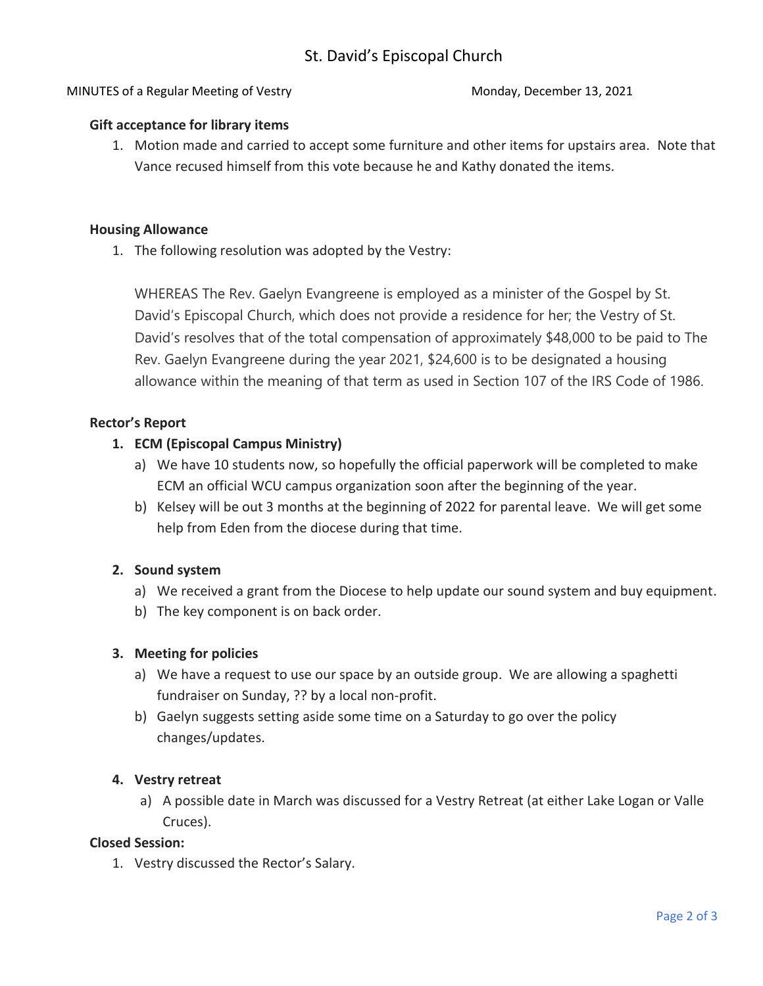### MINUTES of a Regular Meeting of Vestry Monday, December 13, 2021

#### **Gift acceptance for library items**

1. Motion made and carried to accept some furniture and other items for upstairs area. Note that Vance recused himself from this vote because he and Kathy donated the items.

#### **Housing Allowance**

1. The following resolution was adopted by the Vestry:

WHEREAS The Rev. Gaelyn Evangreene is employed as a minister of the Gospel by St. David's Episcopal Church, which does not provide a residence for her; the Vestry of St. David's resolves that of the total compensation of approximately \$48,000 to be paid to The Rev. Gaelyn Evangreene during the year 2021, \$24,600 is to be designated a housing allowance within the meaning of that term as used in Section 107 of the IRS Code of 1986.

### **Rector's Report**

- **1. ECM (Episcopal Campus Ministry)**
	- a) We have 10 students now, so hopefully the official paperwork will be completed to make ECM an official WCU campus organization soon after the beginning of the year.
	- b) Kelsey will be out 3 months at the beginning of 2022 for parental leave. We will get some help from Eden from the diocese during that time.

### **2. Sound system**

- a) We received a grant from the Diocese to help update our sound system and buy equipment.
- b) The key component is on back order.

### **3. Meeting for policies**

- a) We have a request to use our space by an outside group. We are allowing a spaghetti fundraiser on Sunday, ?? by a local non-profit.
- b) Gaelyn suggests setting aside some time on a Saturday to go over the policy changes/updates.

### **4. Vestry retreat**

a) A possible date in March was discussed for a Vestry Retreat (at either Lake Logan or Valle Cruces).

### **Closed Session:**

1. Vestry discussed the Rector's Salary.